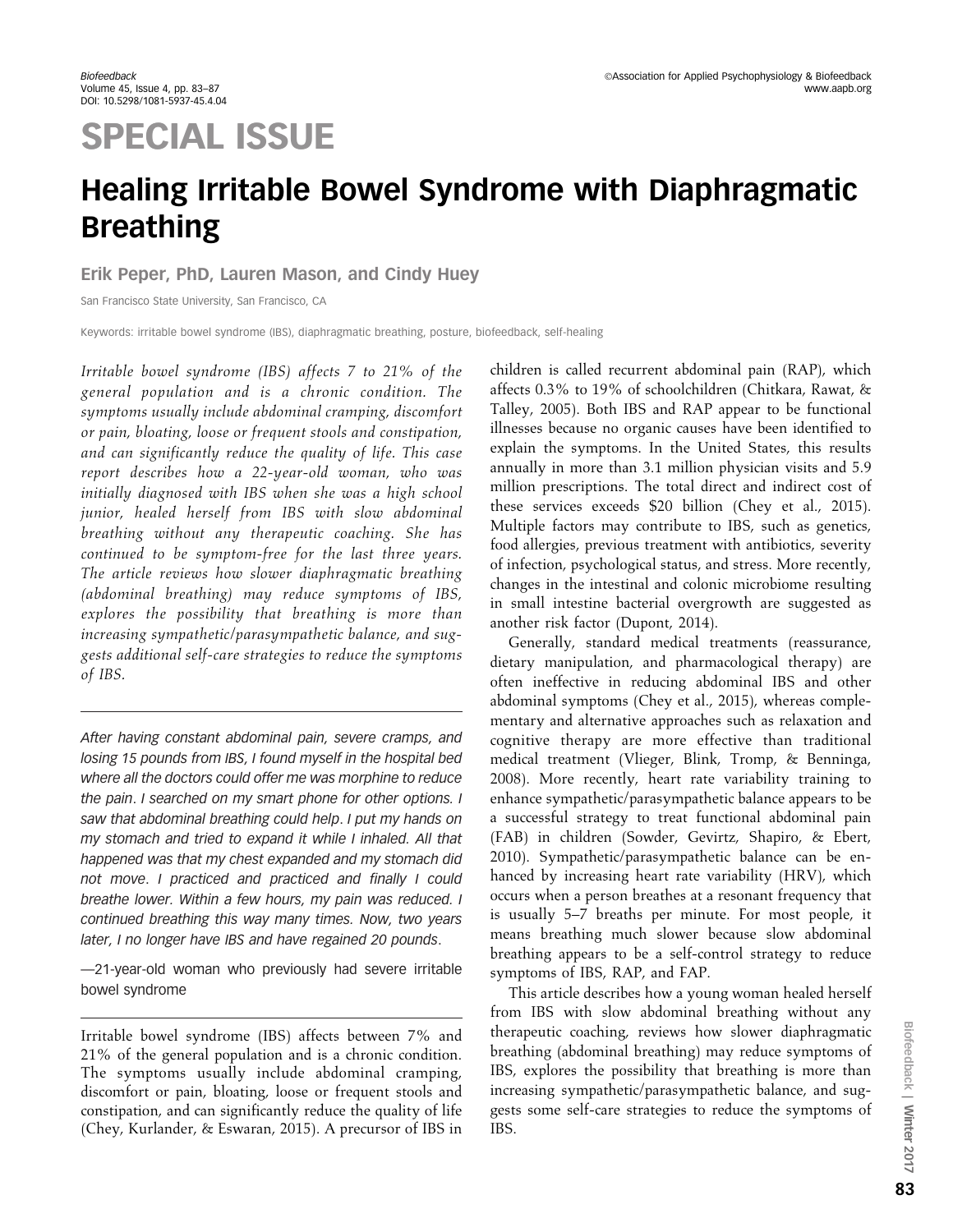# SPECIAL ISSUE

## Healing Irritable Bowel Syndrome with Diaphragmatic Breathing

### Erik Peper, PhD, Lauren Mason, and Cindy Huey

San Francisco State University, San Francisco, CA

Keywords: irritable bowel syndrome (IBS), diaphragmatic breathing, posture, biofeedback, self-healing

Irritable bowel syndrome (IBS) affects 7 to 21% of the general population and is a chronic condition. The symptoms usually include abdominal cramping, discomfort or pain, bloating, loose or frequent stools and constipation, and can significantly reduce the quality of life. This case report describes how a 22-year-old woman, who was initially diagnosed with IBS when she was a high school junior, healed herself from IBS with slow abdominal breathing without any therapeutic coaching. She has continued to be symptom-free for the last three years. The article reviews how slower diaphragmatic breathing (abdominal breathing) may reduce symptoms of IBS, explores the possibility that breathing is more than increasing sympathetic/parasympathetic balance, and suggests additional self-care strategies to reduce the symptoms of IBS.

After having constant abdominal pain, severe cramps, and losing 15 pounds from IBS, I found myself in the hospital bed where all the doctors could offer me was morphine to reduce the pain. I searched on my smart phone for other options. I saw that abdominal breathing could help. I put my hands on my stomach and tried to expand it while I inhaled. All that happened was that my chest expanded and my stomach did not move. I practiced and practiced and finally I could breathe lower. Within a few hours, my pain was reduced. I continued breathing this way many times. Now, two years later, I no longer have IBS and have regained 20 pounds.

—21-year-old woman who previously had severe irritable bowel syndrome

Irritable bowel syndrome (IBS) affects between 7% and 21% of the general population and is a chronic condition. The symptoms usually include abdominal cramping, discomfort or pain, bloating, loose or frequent stools and constipation, and can significantly reduce the quality of life (Chey, Kurlander, & Eswaran, 2015). A precursor of IBS in children is called recurrent abdominal pain (RAP), which affects 0.3% to 19% of schoolchildren (Chitkara, Rawat, & Talley, 2005). Both IBS and RAP appear to be functional illnesses because no organic causes have been identified to explain the symptoms. In the United States, this results annually in more than 3.1 million physician visits and 5.9 million prescriptions. The total direct and indirect cost of these services exceeds \$20 billion (Chey et al., 2015). Multiple factors may contribute to IBS, such as genetics, food allergies, previous treatment with antibiotics, severity of infection, psychological status, and stress. More recently, changes in the intestinal and colonic microbiome resulting in small intestine bacterial overgrowth are suggested as another risk factor (Dupont, 2014).

Generally, standard medical treatments (reassurance, dietary manipulation, and pharmacological therapy) are often ineffective in reducing abdominal IBS and other abdominal symptoms (Chey et al., 2015), whereas complementary and alternative approaches such as relaxation and cognitive therapy are more effective than traditional medical treatment (Vlieger, Blink, Tromp, & Benninga, 2008). More recently, heart rate variability training to enhance sympathetic/parasympathetic balance appears to be a successful strategy to treat functional abdominal pain (FAB) in children (Sowder, Gevirtz, Shapiro, & Ebert, 2010). Sympathetic/parasympathetic balance can be enhanced by increasing heart rate variability (HRV), which occurs when a person breathes at a resonant frequency that is usually 5–7 breaths per minute. For most people, it means breathing much slower because slow abdominal breathing appears to be a self-control strategy to reduce symptoms of IBS, RAP, and FAP.

This article describes how a young woman healed herself from IBS with slow abdominal breathing without any therapeutic coaching, reviews how slower diaphragmatic breathing (abdominal breathing) may reduce symptoms of IBS, explores the possibility that breathing is more than increasing sympathetic/parasympathetic balance, and suggests some self-care strategies to reduce the symptoms of IBS.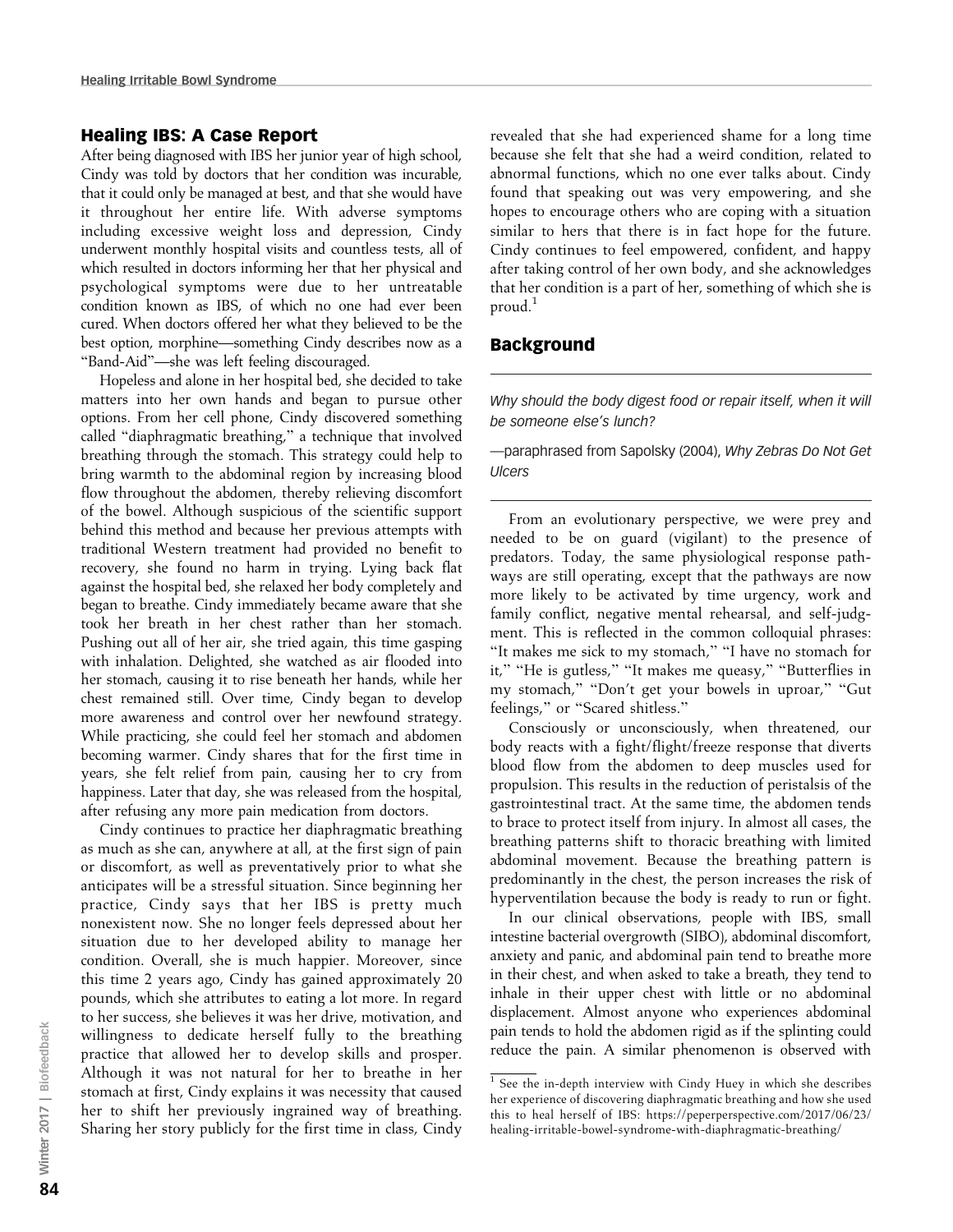#### Healing IBS: A Case Report

After being diagnosed with IBS her junior year of high school, Cindy was told by doctors that her condition was incurable, that it could only be managed at best, and that she would have it throughout her entire life. With adverse symptoms including excessive weight loss and depression, Cindy underwent monthly hospital visits and countless tests, all of which resulted in doctors informing her that her physical and psychological symptoms were due to her untreatable condition known as IBS, of which no one had ever been cured. When doctors offered her what they believed to be the best option, morphine—something Cindy describes now as a ''Band-Aid''—she was left feeling discouraged.

Hopeless and alone in her hospital bed, she decided to take matters into her own hands and began to pursue other options. From her cell phone, Cindy discovered something called ''diaphragmatic breathing,'' a technique that involved breathing through the stomach. This strategy could help to bring warmth to the abdominal region by increasing blood flow throughout the abdomen, thereby relieving discomfort of the bowel. Although suspicious of the scientific support behind this method and because her previous attempts with traditional Western treatment had provided no benefit to recovery, she found no harm in trying. Lying back flat against the hospital bed, she relaxed her body completely and began to breathe. Cindy immediately became aware that she took her breath in her chest rather than her stomach. Pushing out all of her air, she tried again, this time gasping with inhalation. Delighted, she watched as air flooded into her stomach, causing it to rise beneath her hands, while her chest remained still. Over time, Cindy began to develop more awareness and control over her newfound strategy. While practicing, she could feel her stomach and abdomen becoming warmer. Cindy shares that for the first time in years, she felt relief from pain, causing her to cry from happiness. Later that day, she was released from the hospital, after refusing any more pain medication from doctors.

Cindy continues to practice her diaphragmatic breathing as much as she can, anywhere at all, at the first sign of pain or discomfort, as well as preventatively prior to what she anticipates will be a stressful situation. Since beginning her practice, Cindy says that her IBS is pretty much nonexistent now. She no longer feels depressed about her situation due to her developed ability to manage her condition. Overall, she is much happier. Moreover, since this time 2 years ago, Cindy has gained approximately 20 pounds, which she attributes to eating a lot more. In regard to her success, she believes it was her drive, motivation, and willingness to dedicate herself fully to the breathing practice that allowed her to develop skills and prosper. Although it was not natural for her to breathe in her stomach at first, Cindy explains it was necessity that caused her to shift her previously ingrained way of breathing. Sharing her story publicly for the first time in class, Cindy

revealed that she had experienced shame for a long time because she felt that she had a weird condition, related to abnormal functions, which no one ever talks about. Cindy found that speaking out was very empowering, and she hopes to encourage others who are coping with a situation similar to hers that there is in fact hope for the future. Cindy continues to feel empowered, confident, and happy after taking control of her own body, and she acknowledges that her condition is a part of her, something of which she is proud.<sup>1</sup>

#### Background

Why should the body digest food or repair itself, when it will be someone else's lunch?

—paraphrased from Sapolsky (2004), Why Zebras Do Not Get Ulcers

From an evolutionary perspective, we were prey and needed to be on guard (vigilant) to the presence of predators. Today, the same physiological response pathways are still operating, except that the pathways are now more likely to be activated by time urgency, work and family conflict, negative mental rehearsal, and self-judgment. This is reflected in the common colloquial phrases: ''It makes me sick to my stomach,'' ''I have no stomach for it," "He is gutless," "It makes me queasy," "Butterflies in my stomach," "Don't get your bowels in uproar," "Gut feelings,'' or ''Scared shitless.''

Consciously or unconsciously, when threatened, our body reacts with a fight/flight/freeze response that diverts blood flow from the abdomen to deep muscles used for propulsion. This results in the reduction of peristalsis of the gastrointestinal tract. At the same time, the abdomen tends to brace to protect itself from injury. In almost all cases, the breathing patterns shift to thoracic breathing with limited abdominal movement. Because the breathing pattern is predominantly in the chest, the person increases the risk of hyperventilation because the body is ready to run or fight.

In our clinical observations, people with IBS, small intestine bacterial overgrowth (SIBO), abdominal discomfort, anxiety and panic, and abdominal pain tend to breathe more in their chest, and when asked to take a breath, they tend to inhale in their upper chest with little or no abdominal displacement. Almost anyone who experiences abdominal pain tends to hold the abdomen rigid as if the splinting could reduce the pain. A similar phenomenon is observed with

 $1$  See the in-depth interview with Cindy Huey in which she describes her experience of discovering diaphragmatic breathing and how she used this to heal herself of IBS: https://peperperspective.com/2017/06/23/ healing-irritable-bowel-syndrome-with-diaphragmatic-breathing/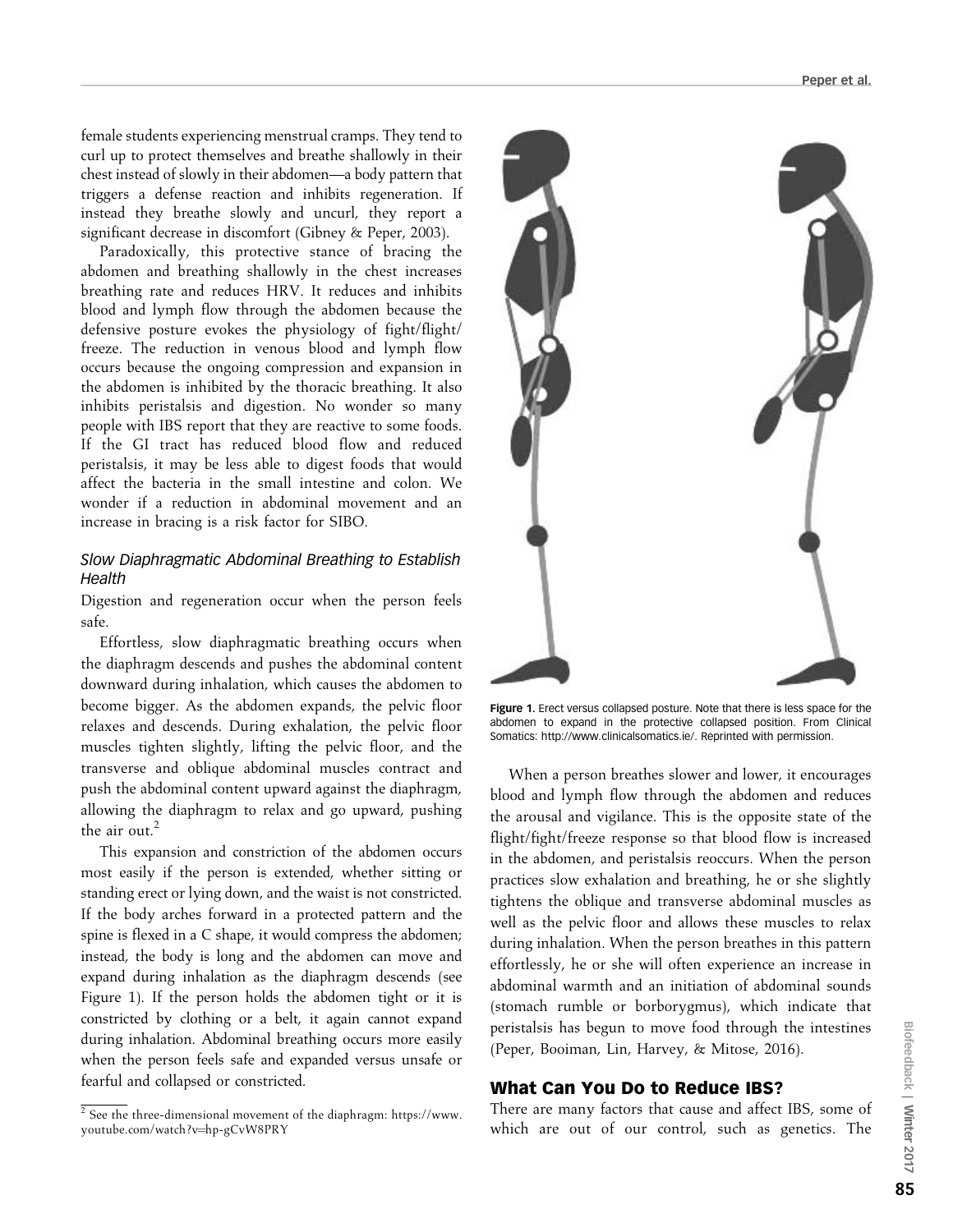female students experiencing menstrual cramps. They tend to curl up to protect themselves and breathe shallowly in their chest instead of slowly in their abdomen—a body pattern that triggers a defense reaction and inhibits regeneration. If instead they breathe slowly and uncurl, they report a significant decrease in discomfort (Gibney & Peper, 2003).

Paradoxically, this protective stance of bracing the abdomen and breathing shallowly in the chest increases breathing rate and reduces HRV. It reduces and inhibits blood and lymph flow through the abdomen because the defensive posture evokes the physiology of fight/flight/ freeze. The reduction in venous blood and lymph flow occurs because the ongoing compression and expansion in the abdomen is inhibited by the thoracic breathing. It also inhibits peristalsis and digestion. No wonder so many people with IBS report that they are reactive to some foods. If the GI tract has reduced blood flow and reduced peristalsis, it may be less able to digest foods that would affect the bacteria in the small intestine and colon. We wonder if a reduction in abdominal movement and an increase in bracing is a risk factor for SIBO.

#### Slow Diaphragmatic Abdominal Breathing to Establish **Health**

Digestion and regeneration occur when the person feels safe.

Effortless, slow diaphragmatic breathing occurs when the diaphragm descends and pushes the abdominal content downward during inhalation, which causes the abdomen to become bigger. As the abdomen expands, the pelvic floor relaxes and descends. During exhalation, the pelvic floor muscles tighten slightly, lifting the pelvic floor, and the transverse and oblique abdominal muscles contract and push the abdominal content upward against the diaphragm, allowing the diaphragm to relax and go upward, pushing the air out.<sup>2</sup>

This expansion and constriction of the abdomen occurs most easily if the person is extended, whether sitting or standing erect or lying down, and the waist is not constricted. If the body arches forward in a protected pattern and the spine is flexed in a C shape, it would compress the abdomen; instead, the body is long and the abdomen can move and expand during inhalation as the diaphragm descends (see Figure 1). If the person holds the abdomen tight or it is constricted by clothing or a belt, it again cannot expand during inhalation. Abdominal breathing occurs more easily when the person feels safe and expanded versus unsafe or fearful and collapsed or constricted.



Figure 1. Erect versus collapsed posture. Note that there is less space for the abdomen to expand in the protective collapsed position. From Clinical Somatics: http://www.clinicalsomatics.ie/. Reprinted with permission.

When a person breathes slower and lower, it encourages blood and lymph flow through the abdomen and reduces the arousal and vigilance. This is the opposite state of the flight/fight/freeze response so that blood flow is increased in the abdomen, and peristalsis reoccurs. When the person practices slow exhalation and breathing, he or she slightly tightens the oblique and transverse abdominal muscles as well as the pelvic floor and allows these muscles to relax during inhalation. When the person breathes in this pattern effortlessly, he or she will often experience an increase in abdominal warmth and an initiation of abdominal sounds (stomach rumble or borborygmus), which indicate that peristalsis has begun to move food through the intestines (Peper, Booiman, Lin, Harvey, & Mitose, 2016).

#### What Can You Do to Reduce IBS?

There are many factors that cause and affect IBS, some of which are out of our control, such as genetics. The

 $\frac{2}{3}$  See the three-dimensional movement of the diaphragm: https://www. youtube.com/watch?v=hp-gCvW8PRY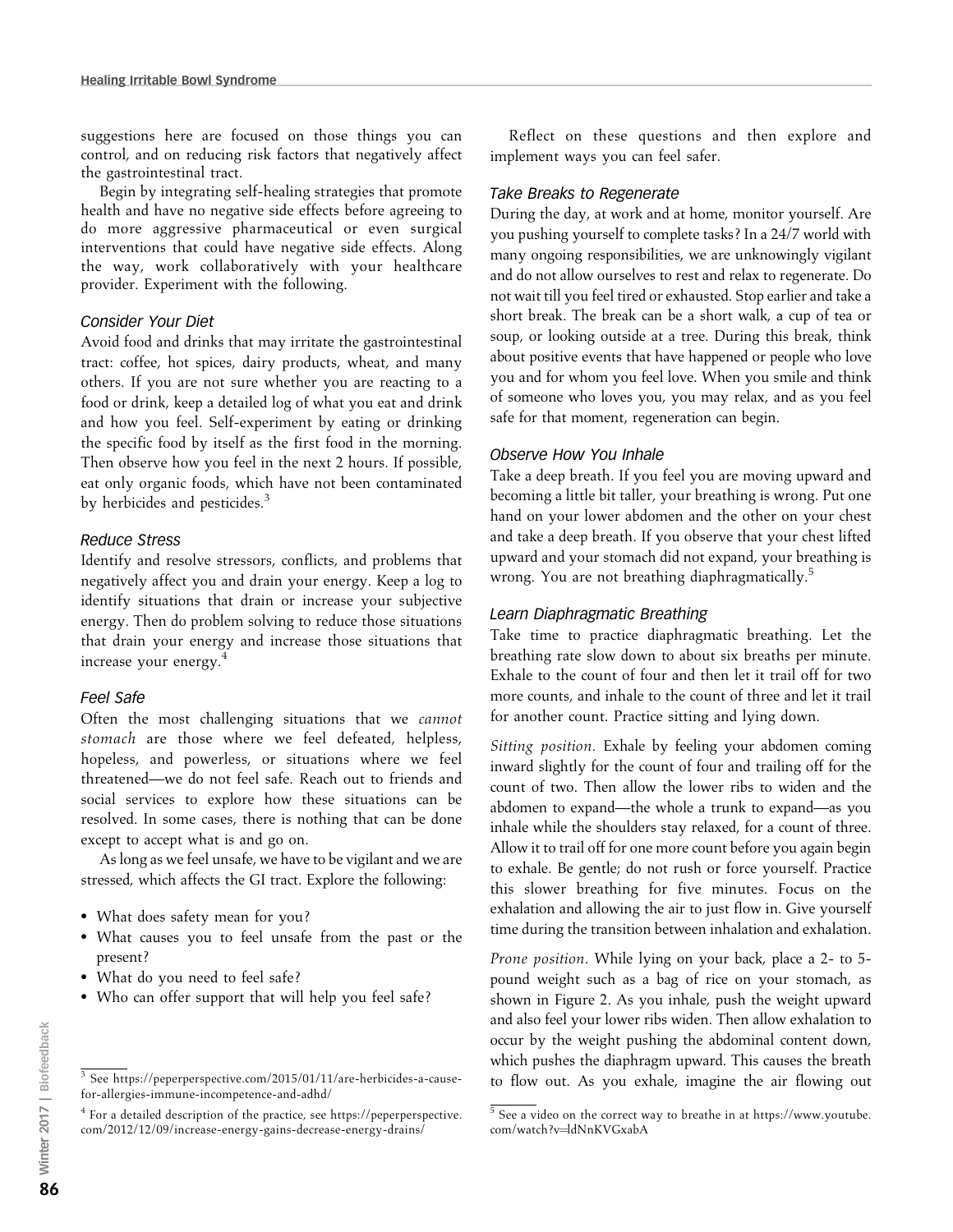suggestions here are focused on those things you can control, and on reducing risk factors that negatively affect the gastrointestinal tract.

Begin by integrating self-healing strategies that promote health and have no negative side effects before agreeing to do more aggressive pharmaceutical or even surgical interventions that could have negative side effects. Along the way, work collaboratively with your healthcare provider. Experiment with the following.

#### Consider Your Diet

Avoid food and drinks that may irritate the gastrointestinal tract: coffee, hot spices, dairy products, wheat, and many others. If you are not sure whether you are reacting to a food or drink, keep a detailed log of what you eat and drink and how you feel. Self-experiment by eating or drinking the specific food by itself as the first food in the morning. Then observe how you feel in the next 2 hours. If possible, eat only organic foods, which have not been contaminated by herbicides and pesticides.<sup>3</sup>

#### Reduce Stress

Identify and resolve stressors, conflicts, and problems that negatively affect you and drain your energy. Keep a log to identify situations that drain or increase your subjective energy. Then do problem solving to reduce those situations that drain your energy and increase those situations that increase your energy.<sup>4</sup>

#### Feel Safe

Often the most challenging situations that we cannot stomach are those where we feel defeated, helpless, hopeless, and powerless, or situations where we feel threatened—we do not feel safe. Reach out to friends and social services to explore how these situations can be resolved. In some cases, there is nothing that can be done except to accept what is and go on.

As long as we feel unsafe, we have to be vigilant and we are stressed, which affects the GI tract. Explore the following:

- What does safety mean for you?
- What causes you to feel unsafe from the past or the present?
- What do you need to feel safe?
- Who can offer support that will help you feel safe?

Reflect on these questions and then explore and implement ways you can feel safer.

#### Take Breaks to Regenerate

During the day, at work and at home, monitor yourself. Are you pushing yourself to complete tasks? In a 24/7 world with many ongoing responsibilities, we are unknowingly vigilant and do not allow ourselves to rest and relax to regenerate. Do not wait till you feel tired or exhausted. Stop earlier and take a short break. The break can be a short walk, a cup of tea or soup, or looking outside at a tree. During this break, think about positive events that have happened or people who love you and for whom you feel love. When you smile and think of someone who loves you, you may relax, and as you feel safe for that moment, regeneration can begin.

#### Observe How You Inhale

Take a deep breath. If you feel you are moving upward and becoming a little bit taller, your breathing is wrong. Put one hand on your lower abdomen and the other on your chest and take a deep breath. If you observe that your chest lifted upward and your stomach did not expand, your breathing is wrong. You are not breathing diaphragmatically.<sup>5</sup>

#### Learn Diaphragmatic Breathing

Take time to practice diaphragmatic breathing. Let the breathing rate slow down to about six breaths per minute. Exhale to the count of four and then let it trail off for two more counts, and inhale to the count of three and let it trail for another count. Practice sitting and lying down.

Sitting position. Exhale by feeling your abdomen coming inward slightly for the count of four and trailing off for the count of two. Then allow the lower ribs to widen and the abdomen to expand—the whole a trunk to expand—as you inhale while the shoulders stay relaxed, for a count of three. Allow it to trail off for one more count before you again begin to exhale. Be gentle; do not rush or force yourself. Practice this slower breathing for five minutes. Focus on the exhalation and allowing the air to just flow in. Give yourself time during the transition between inhalation and exhalation.

Prone position. While lying on your back, place a 2- to 5 pound weight such as a bag of rice on your stomach, as shown in Figure 2. As you inhale, push the weight upward and also feel your lower ribs widen. Then allow exhalation to occur by the weight pushing the abdominal content down, which pushes the diaphragm upward. This causes the breath  $\frac{1}{3}$  See https://peperperspective.com/2015/01/11/are-herbicides-a-cause-<br>to flow out. As you exhale, imagine the air flowing out

for-allergies-immune-incompetence-and-adhd/

<sup>4</sup> For a detailed description of the practice, see https://peperperspective. com/2012/12/09/increase-energy-gains-decrease-energy-drains/

 $\frac{5}{5}$  See a video on the correct way to breathe in at https://www.youtube. com/watch?v=ldNnKVGxabA